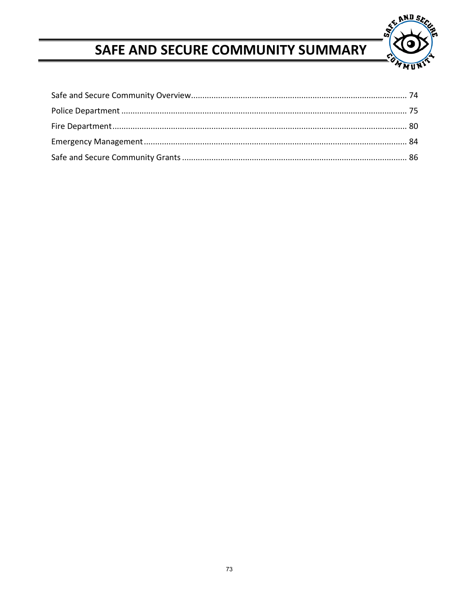

# SAFE AND SECURE COMMUNITY SUMMARY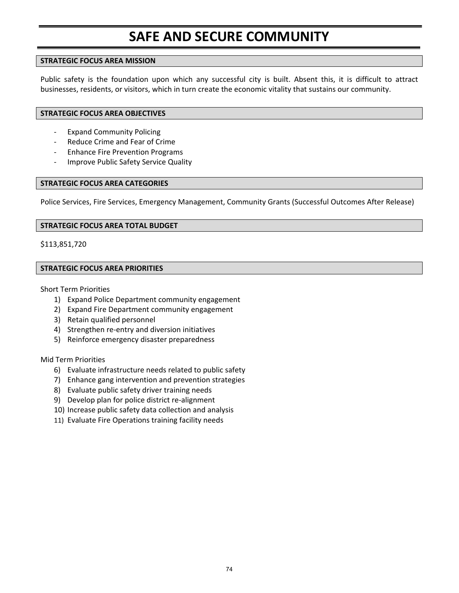# **SAFE AND SECURE COMMUNITY**

### **STRATEGIC FOCUS AREA MISSION**

Public safety is the foundation upon which any successful city is built. Absent this, it is difficult to attract businesses, residents, or visitors, which in turn create the economic vitality that sustains our community.

### **STRATEGIC FOCUS AREA OBJECTIVES**

- ‐ Expand Community Policing
- ‐ Reduce Crime and Fear of Crime
- ‐ Enhance Fire Prevention Programs
- ‐ Improve Public Safety Service Quality

### **STRATEGIC FOCUS AREA CATEGORIES**

Police Services, Fire Services, Emergency Management, Community Grants (Successful Outcomes After Release)

### **STRATEGIC FOCUS AREA TOTAL BUDGET**

\$113,851,720

## **STRATEGIC FOCUS AREA PRIORITIES**

Short Term Priorities

- 1) Expand Police Department community engagement
- 2) Expand Fire Department community engagement
- 3) Retain qualified personnel
- 4) Strengthen re-entry and diversion initiatives
- 5) Reinforce emergency disaster preparedness

#### Mid Term Priorities

- 6) Evaluate infrastructure needs related to public safety
- 7) Enhance gang intervention and prevention strategies
- 8) Evaluate public safety driver training needs
- 9) Develop plan for police district re-alignment
- 10) Increase public safety data collection and analysis
- 11) Evaluate Fire Operations training facility needs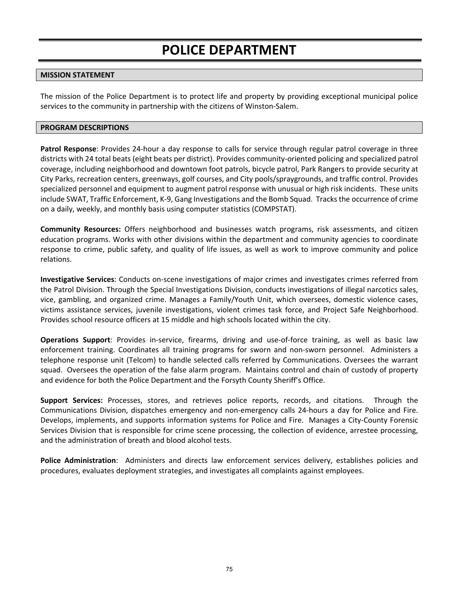# **POLICE DEPARTMENT**

## **MISSION STATEMENT**

The mission of the Police Department is to protect life and property by providing exceptional municipal police services to the community in partnership with the citizens of Winston‐Salem.

#### **PROGRAM DESCRIPTIONS**

**Patrol Response**: Provides 24‐hour a day response to calls for service through regular patrol coverage in three districts with 24 total beats (eight beats per district). Provides community‐oriented policing and specialized patrol coverage, including neighborhood and downtown foot patrols, bicycle patrol, Park Rangers to provide security at City Parks, recreation centers, greenways, golf courses, and City pools/spraygrounds, and traffic control. Provides specialized personnel and equipment to augment patrol response with unusual or high risk incidents. These units include SWAT, Traffic Enforcement, K‐9, Gang Investigations and the Bomb Squad. Tracks the occurrence of crime on a daily, weekly, and monthly basis using computer statistics (COMPSTAT).

**Community Resources:**  Offers neighborhood and businesses watch programs, risk assessments, and citizen education programs. Works with other divisions within the department and community agencies to coordinate response to crime, public safety, and quality of life issues, as well as work to improve community and police relations.

**Investigative Services**: Conducts on‐scene investigations of major crimes and investigates crimes referred from the Patrol Division. Through the Special Investigations Division, conducts investigations of illegal narcotics sales, vice, gambling, and organized crime. Manages a Family/Youth Unit, which oversees, domestic violence cases, victims assistance services, juvenile investigations, violent crimes task force, and Project Safe Neighborhood. Provides school resource officers at 15 middle and high schools located within the city.

**Operations Support**: Provides in‐service, firearms, driving and use‐of‐force training, as well as basic law enforcement training. Coordinates all training programs for sworn and non-sworn personnel. Administers a telephone response unit (Telcom) to handle selected calls referred by Communications. Oversees the warrant squad. Oversees the operation of the false alarm program. Maintains control and chain of custody of property and evidence for both the Police Department and the Forsyth County Sheriff's Office.

**Support Services:** Processes, stores, and retrieves police reports, records, and citations. Through the Communications Division, dispatches emergency and non‐emergency calls 24‐hours a day for Police and Fire. Develops, implements, and supports information systems for Police and Fire. Manages a City‐County Forensic Services Division that is responsible for crime scene processing, the collection of evidence, arrestee processing, and the administration of breath and blood alcohol tests.

Police Administration: Administers and directs law enforcement services delivery, establishes policies and procedures, evaluates deployment strategies, and investigates all complaints against employees.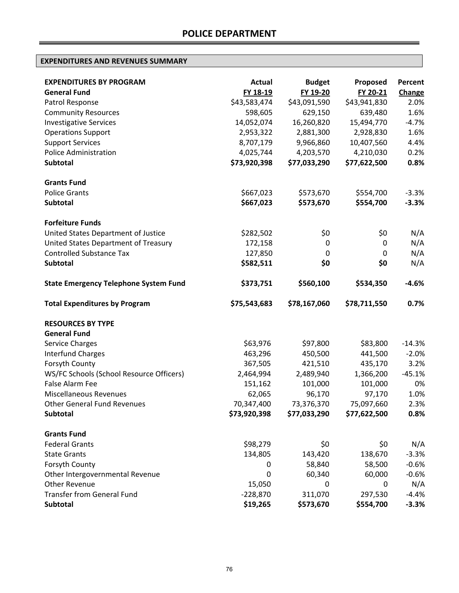| <b>EXPENDITURES BY PROGRAM</b>                          | <b>Actual</b>             | <b>Budget</b> | Proposed                  | <b>Percent</b> |
|---------------------------------------------------------|---------------------------|---------------|---------------------------|----------------|
| <b>General Fund</b>                                     | FY 18-19                  | FY 19-20      | FY 20-21                  | Change         |
| Patrol Response                                         | \$43,583,474              | \$43,091,590  | \$43,941,830              | 2.0%           |
| <b>Community Resources</b>                              | 598,605                   | 629,150       | 639,480                   | 1.6%           |
| <b>Investigative Services</b>                           | 14,052,074                | 16,260,820    | 15,494,770                | $-4.7%$        |
| <b>Operations Support</b>                               | 2,953,322                 | 2,881,300     | 2,928,830                 | 1.6%           |
| <b>Support Services</b><br><b>Police Administration</b> | 8,707,179                 | 9,966,860     | 10,407,560                | 4.4%           |
| Subtotal                                                | 4,025,744<br>\$73,920,398 | 4,203,570     | 4,210,030<br>\$77,622,500 | 0.2%           |
|                                                         |                           | \$77,033,290  |                           | 0.8%           |
| <b>Grants Fund</b>                                      |                           |               |                           |                |
| <b>Police Grants</b>                                    | \$667,023                 | \$573,670     | \$554,700                 | $-3.3%$        |
| Subtotal                                                | \$667,023                 | \$573,670     | \$554,700                 | $-3.3%$        |
| <b>Forfeiture Funds</b>                                 |                           |               |                           |                |
| United States Department of Justice                     | \$282,502                 | \$0           | \$0                       | N/A            |
| United States Department of Treasury                    | 172,158                   | 0             | 0                         | N/A            |
| <b>Controlled Substance Tax</b>                         | 127,850                   | 0             | 0                         | N/A            |
| Subtotal                                                | \$582,511                 | \$0           | \$0                       | N/A            |
| <b>State Emergency Telephone System Fund</b>            | \$373,751                 | \$560,100     | \$534,350                 | $-4.6%$        |
| <b>Total Expenditures by Program</b>                    | \$75,543,683              | \$78,167,060  | \$78,711,550              | 0.7%           |
| <b>RESOURCES BY TYPE</b>                                |                           |               |                           |                |
| <b>General Fund</b>                                     |                           |               |                           |                |
| Service Charges                                         | \$63,976                  | \$97,800      | \$83,800                  | $-14.3%$       |
| <b>Interfund Charges</b>                                | 463,296                   | 450,500       | 441,500                   | $-2.0%$        |
| Forsyth County                                          | 367,505                   | 421,510       | 435,170                   | 3.2%           |
| WS/FC Schools (School Resource Officers)                | 2,464,994                 | 2,489,940     | 1,366,200                 | $-45.1%$       |
| False Alarm Fee                                         | 151,162                   | 101,000       | 101,000                   | 0%             |
| Miscellaneous Revenues                                  | 62,065                    | 96,170        | 97,170                    | 1.0%           |
| <b>Other General Fund Revenues</b>                      | 70,347,400                | 73,376,370    | 75,097,660                | 2.3%           |
| Subtotal                                                | \$73,920,398              | \$77,033,290  | \$77,622,500              | 0.8%           |
| <b>Grants Fund</b>                                      |                           |               |                           |                |
| <b>Federal Grants</b>                                   | \$98,279                  | \$0           | \$0                       | N/A            |
| <b>State Grants</b>                                     | 134,805                   | 143,420       | 138,670                   | $-3.3%$        |
| Forsyth County                                          | 0                         | 58,840        | 58,500                    | $-0.6%$        |
| Other Intergovernmental Revenue                         | 0                         | 60,340        | 60,000                    | $-0.6%$        |
| <b>Other Revenue</b>                                    | 15,050                    | 0             | 0                         | N/A            |
| <b>Transfer from General Fund</b>                       | $-228,870$                | 311,070       | 297,530                   | $-4.4%$        |
| Subtotal                                                | \$19,265                  | \$573,670     | \$554,700                 | $-3.3%$        |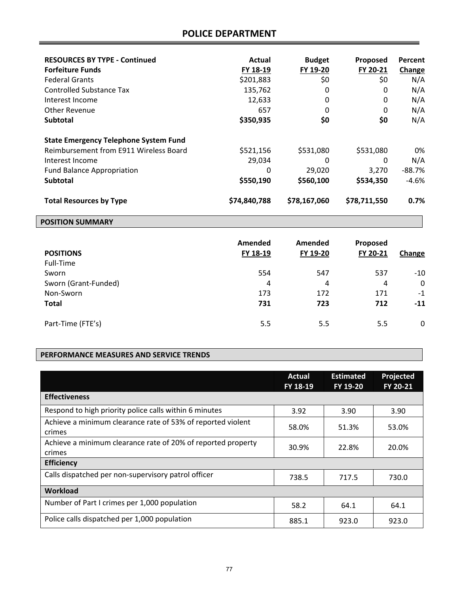## **POLICE DEPARTMENT**

| <b>RESOURCES BY TYPE - Continued</b><br><b>Forfeiture Funds</b><br><b>Federal Grants</b><br>Controlled Substance Tax<br>Interest Income<br>Other Revenue<br><b>Subtotal</b> | Actual<br>FY 18-19<br>\$201,883<br>135,762<br>12,633<br>657<br>\$350,935 | <b>Budget</b><br>FY 19-20<br>\$0<br>0<br>0<br>0<br>\$0 | Proposed<br>FY 20-21<br>\$0<br>0<br>0<br>0<br>\$0 | Percent<br>Change<br>N/A<br>N/A<br>N/A<br>N/A<br>N/A |
|-----------------------------------------------------------------------------------------------------------------------------------------------------------------------------|--------------------------------------------------------------------------|--------------------------------------------------------|---------------------------------------------------|------------------------------------------------------|
| <b>State Emergency Telephone System Fund</b><br>Reimbursement from E911 Wireless Board<br>Interest Income<br><b>Fund Balance Appropriation</b><br><b>Subtotal</b>           | \$521,156<br>29,034<br>0<br>\$550,190                                    | \$531,080<br>0<br>29,020<br>\$560,100                  | \$531,080<br>0<br>3.270<br>\$534,350              | 0%<br>N/A<br>$-88.7%$<br>$-4.6%$                     |
| <b>Total Resources by Type</b>                                                                                                                                              | \$74,840,788                                                             | \$78,167,060                                           | \$78,711,550                                      | $0.7\%$                                              |

## **POSITION SUMMARY**

| <b>POSITIONS</b><br>Full-Time | Amended<br>FY 18-19 | Amended<br>FY 19-20 | Proposed<br>FY 20-21 | Change |
|-------------------------------|---------------------|---------------------|----------------------|--------|
| Sworn                         | 554                 | 547                 | 537                  | $-10$  |
| Sworn (Grant-Funded)          | 4                   | 4                   | 4                    | 0      |
| Non-Sworn                     | 173                 | 172                 | 171                  | $-1$   |
| <b>Total</b>                  | 731                 | 723                 | 712                  | $-11$  |
| Part-Time (FTE's)             | 5.5                 | 5.5                 | 5.5                  | 0      |

## **PERFORMANCE MEASURES AND SERVICE TRENDS**

|                                                                        | Actual<br>FY 18-19 | <b>Estimated</b><br>FY 19-20 | <b>Projected</b><br>FY 20-21 |
|------------------------------------------------------------------------|--------------------|------------------------------|------------------------------|
| <b>Effectiveness</b>                                                   |                    |                              |                              |
| Respond to high priority police calls within 6 minutes                 | 3.92               | 3.90                         | 3.90                         |
| Achieve a minimum clearance rate of 53% of reported violent<br>crimes  | 58.0%              | 51.3%                        | 53.0%                        |
| Achieve a minimum clearance rate of 20% of reported property<br>crimes | 30.9%              | 22.8%                        | 20.0%                        |
| <b>Efficiency</b>                                                      |                    |                              |                              |
| Calls dispatched per non-supervisory patrol officer                    | 738.5              | 717.5                        | 730.0                        |
| Workload                                                               |                    |                              |                              |
| Number of Part I crimes per 1,000 population                           | 58.2               | 64.1                         | 64.1                         |
| Police calls dispatched per 1,000 population                           | 885.1              | 923.0                        | 923.0                        |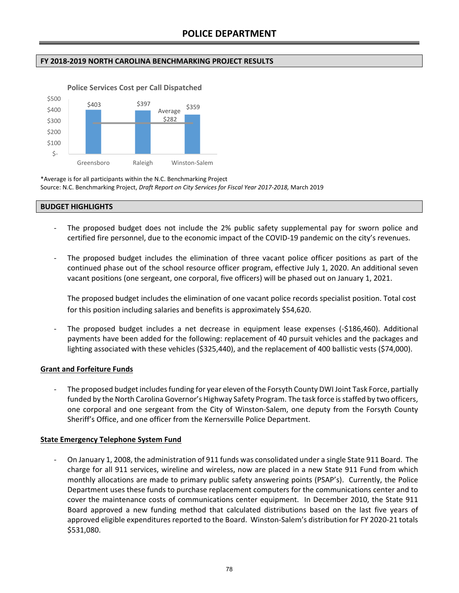## **FY 2018‐2019 NORTH CAROLINA BENCHMARKING PROJECT RESULTS**



**Police Services Cost per Call Dispatched**

\*Average is for all participants within the N.C. Benchmarking Project Source: N.C. Benchmarking Project, *Draft Report on City Services for Fiscal Year 2017‐2018,* March 2019

#### **BUDGET HIGHLIGHTS**

- The proposed budget does not include the 2% public safety supplemental pay for sworn police and certified fire personnel, due to the economic impact of the COVID‐19 pandemic on the city's revenues.
- The proposed budget includes the elimination of three vacant police officer positions as part of the continued phase out of the school resource officer program, effective July 1, 2020. An additional seven vacant positions (one sergeant, one corporal, five officers) will be phased out on January 1, 2021.

The proposed budget includes the elimination of one vacant police records specialist position. Total cost for this position including salaries and benefits is approximately \$54,620.

The proposed budget includes a net decrease in equipment lease expenses (-\$186,460). Additional payments have been added for the following: replacement of 40 pursuit vehicles and the packages and lighting associated with these vehicles (\$325,440), and the replacement of 400 ballistic vests (\$74,000).

## **Grant and Forfeiture Funds**

‐ The proposed budget includes funding for year eleven of the Forsyth County DWI Joint Task Force, partially funded by the North Carolina Governor's Highway Safety Program. The task force is staffed by two officers, one corporal and one sergeant from the City of Winston‐Salem, one deputy from the Forsyth County Sheriff's Office, and one officer from the Kernersville Police Department.

#### **State Emergency Telephone System Fund**

‐ On January 1, 2008, the administration of 911 funds was consolidated under a single State 911 Board. The charge for all 911 services, wireline and wireless, now are placed in a new State 911 Fund from which monthly allocations are made to primary public safety answering points (PSAP's). Currently, the Police Department uses these funds to purchase replacement computers for the communications center and to cover the maintenance costs of communications center equipment. In December 2010, the State 911 Board approved a new funding method that calculated distributions based on the last five years of approved eligible expenditures reported to the Board. Winston‐Salem's distribution for FY 2020‐21 totals \$531,080.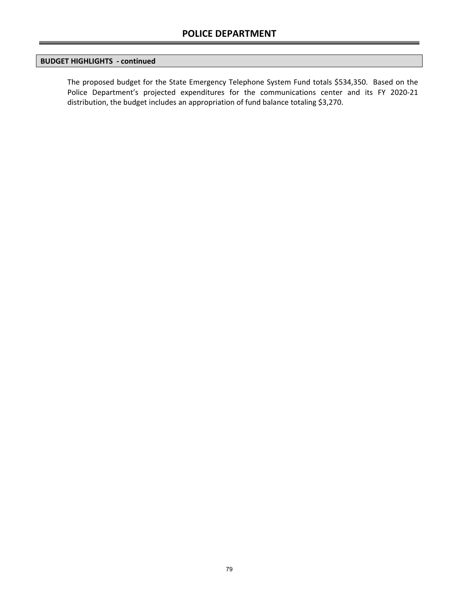## **BUDGET HIGHLIGHTS ‐ continued**

The proposed budget for the State Emergency Telephone System Fund totals \$534,350. Based on the Police Department's projected expenditures for the communications center and its FY 2020-21 distribution, the budget includes an appropriation of fund balance totaling \$3,270.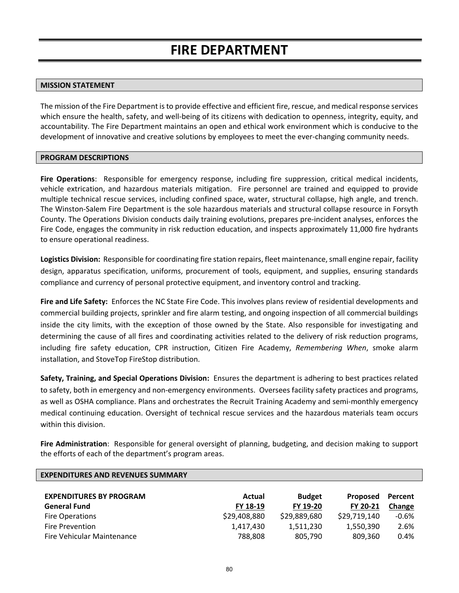#### **MISSION STATEMENT**

The mission of the Fire Department is to provide effective and efficient fire, rescue, and medical response services which ensure the health, safety, and well-being of its citizens with dedication to openness, integrity, equity, and accountability. The Fire Department maintains an open and ethical work environment which is conducive to the development of innovative and creative solutions by employees to meet the ever-changing community needs.

### **PROGRAM DESCRIPTIONS**

**Fire Operations**: Responsible for emergency response, including fire suppression, critical medical incidents, vehicle extrication, and hazardous materials mitigation. Fire personnel are trained and equipped to provide multiple technical rescue services, including confined space, water, structural collapse, high angle, and trench. The Winston‐Salem Fire Department is the sole hazardous materials and structural collapse resource in Forsyth County. The Operations Division conducts daily training evolutions, prepares pre‐incident analyses, enforces the Fire Code, engages the community in risk reduction education, and inspects approximately 11,000 fire hydrants to ensure operational readiness.

**Logistics Division:** Responsible for coordinating fire station repairs, fleet maintenance, small engine repair, facility design, apparatus specification, uniforms, procurement of tools, equipment, and supplies, ensuring standards compliance and currency of personal protective equipment, and inventory control and tracking.

**Fire and Life Safety:** Enforces the NC State Fire Code. This involves plans review of residential developments and commercial building projects, sprinkler and fire alarm testing, and ongoing inspection of all commercial buildings inside the city limits, with the exception of those owned by the State. Also responsible for investigating and determining the cause of all fires and coordinating activities related to the delivery of risk reduction programs, including fire safety education, CPR instruction, Citizen Fire Academy, *Remembering When*, smoke alarm installation, and StoveTop FireStop distribution.

**Safety, Training, and Special Operations Division:** Ensures the department is adhering to best practices related to safety, both in emergency and non‐emergency environments. Oversees facility safety practices and programs, as well as OSHA compliance. Plans and orchestrates the Recruit Training Academy and semi-monthly emergency medical continuing education. Oversight of technical rescue services and the hazardous materials team occurs within this division.

**Fire Administration**: Responsible for general oversight of planning, budgeting, and decision making to support the efforts of each of the department's program areas.

| Actual       | <b>Budget</b> | Proposed     | Percent |
|--------------|---------------|--------------|---------|
| FY 18-19     | FY 19-20      | FY 20-21     | Change  |
| \$29,408,880 | \$29,889,680  | \$29,719,140 | $-0.6%$ |
| 1,417,430    | 1,511,230     | 1,550,390    | 2.6%    |
| 788,808      | 805,790       | 809,360      | 0.4%    |
|              |               |              |         |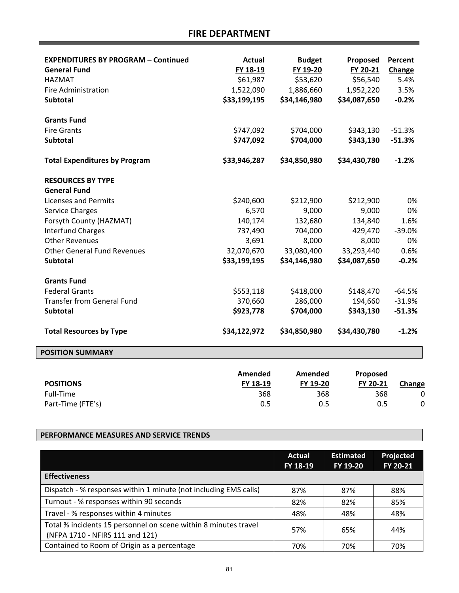**FIRE DEPARTMENT** 

| <b>EXPENDITURES BY PROGRAM - Continued</b><br><b>General Fund</b><br><b>HAZMAT</b><br><b>Fire Administration</b><br><b>Subtotal</b> | <b>Actual</b><br>FY 18-19<br>\$61,987<br>1,522,090<br>\$33,199,195 | <b>Budget</b><br>FY 19-20<br>\$53,620<br>1,886,660<br>\$34,146,980 | Proposed<br>FY 20-21<br>\$56,540<br>1,952,220<br>\$34,087,650 | Percent<br>Change<br>5.4%<br>3.5%<br>$-0.2%$ |
|-------------------------------------------------------------------------------------------------------------------------------------|--------------------------------------------------------------------|--------------------------------------------------------------------|---------------------------------------------------------------|----------------------------------------------|
| <b>Grants Fund</b><br><b>Fire Grants</b><br><b>Subtotal</b>                                                                         | \$747,092<br>\$747,092                                             | \$704,000<br>\$704,000                                             | \$343,130<br>\$343,130                                        | $-51.3%$<br>$-51.3%$                         |
| <b>Total Expenditures by Program</b><br><b>RESOURCES BY TYPE</b>                                                                    | \$33,946,287                                                       | \$34,850,980                                                       | \$34,430,780                                                  | $-1.2%$                                      |
| <b>General Fund</b>                                                                                                                 |                                                                    |                                                                    |                                                               |                                              |
| <b>Licenses and Permits</b>                                                                                                         | \$240,600                                                          | \$212,900                                                          | \$212,900                                                     | 0%                                           |
| <b>Service Charges</b>                                                                                                              | 6,570                                                              | 9,000                                                              | 9,000                                                         | 0%                                           |
| Forsyth County (HAZMAT)                                                                                                             | 140,174                                                            | 132,680                                                            | 134,840                                                       | 1.6%                                         |
| <b>Interfund Charges</b><br><b>Other Revenues</b>                                                                                   | 737,490                                                            | 704,000                                                            | 429,470                                                       | $-39.0%$                                     |
| <b>Other General Fund Revenues</b>                                                                                                  | 3,691                                                              | 8,000                                                              | 8,000                                                         | 0%                                           |
| <b>Subtotal</b>                                                                                                                     | 32,070,670<br>\$33,199,195                                         | 33,080,400<br>\$34,146,980                                         | 33,293,440<br>\$34,087,650                                    | 0.6%<br>$-0.2%$                              |
|                                                                                                                                     |                                                                    |                                                                    |                                                               |                                              |
| <b>Grants Fund</b>                                                                                                                  |                                                                    |                                                                    |                                                               |                                              |
| <b>Federal Grants</b>                                                                                                               | \$553,118                                                          | \$418,000                                                          | \$148,470                                                     | $-64.5%$                                     |
| <b>Transfer from General Fund</b>                                                                                                   | 370,660                                                            | 286,000                                                            | 194,660                                                       | $-31.9%$                                     |
| <b>Subtotal</b>                                                                                                                     | \$923,778                                                          | \$704,000                                                          | \$343,130                                                     | $-51.3%$                                     |
| <b>Total Resources by Type</b>                                                                                                      | \$34,122,972                                                       | \$34,850,980                                                       | \$34,430,780                                                  | $-1.2%$                                      |
| <b>POSITION SUMMARY</b>                                                                                                             |                                                                    |                                                                    |                                                               |                                              |
| <b>POSITIONS</b>                                                                                                                    | <b>Amended</b><br>FY 18-19                                         | Amended<br>FY 19-20                                                | Proposed<br>FY 20-21                                          | Change                                       |
| Full-Time                                                                                                                           | 368                                                                | 368                                                                | 368                                                           | 0                                            |
| Part-Time (FTE's)                                                                                                                   | 0.5                                                                | 0.5                                                                | 0.5                                                           | 0                                            |

## **PERFORMANCE MEASURES AND SERVICE TRENDS**

|                                                                                                    | Actual<br>FY 18-19 | <b>Estimated</b><br>FY 19-20 | Projected<br>FY 20-21 |
|----------------------------------------------------------------------------------------------------|--------------------|------------------------------|-----------------------|
| <b>Effectiveness</b>                                                                               |                    |                              |                       |
| Dispatch - % responses within 1 minute (not including EMS calls)                                   | 87%                | 87%                          | 88%                   |
| Turnout - % responses within 90 seconds                                                            | 82%                | 82%                          | 85%                   |
| Travel - % responses within 4 minutes                                                              | 48%                | 48%                          | 48%                   |
| Total % incidents 15 personnel on scene within 8 minutes travel<br>(NFPA 1710 - NFIRS 111 and 121) | 57%                | 65%                          | 44%                   |
| Contained to Room of Origin as a percentage                                                        | 70%                | 70%                          | 70%                   |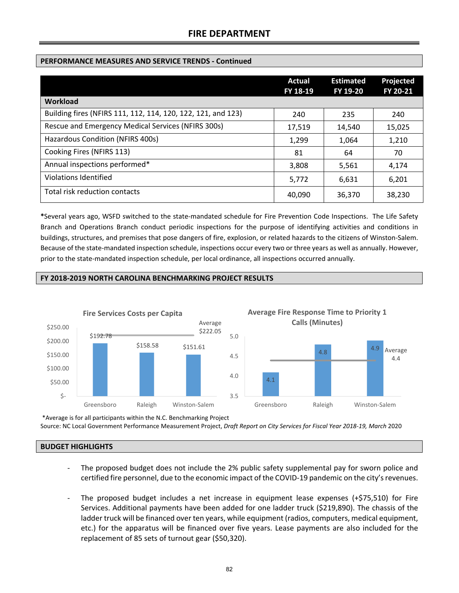## **FIRE DEPARTMENT**

## **PERFORMANCE MEASURES AND SERVICE TRENDS ‐ Continued**

|                                                              | Actual<br>FY 18-19 | <b>Estimated</b><br>FY 19-20 | Projected<br>FY 20-21 |
|--------------------------------------------------------------|--------------------|------------------------------|-----------------------|
| Workload                                                     |                    |                              |                       |
| Building fires (NFIRS 111, 112, 114, 120, 122, 121, and 123) | 240                | 235                          | 240                   |
| Rescue and Emergency Medical Services (NFIRS 300s)           | 17,519             | 14,540                       | 15,025                |
| Hazardous Condition (NFIRS 400s)                             | 1,299              | 1,064                        | 1,210                 |
| Cooking Fires (NFIRS 113)                                    | 81                 | 64                           | 70                    |
| Annual inspections performed*                                | 3,808              | 5,561                        | 4,174                 |
| Violations Identified                                        | 5,772              | 6,631                        | 6,201                 |
| Total risk reduction contacts                                | 40,090             | 36,370                       | 38,230                |

**\***Several years ago, WSFD switched to the state‐mandated schedule for Fire Prevention Code Inspections. The Life Safety Branch and Operations Branch conduct periodic inspections for the purpose of identifying activities and conditions in buildings, structures, and premises that pose dangers of fire, explosion, or related hazards to the citizens of Winston‐Salem. Because of the state-mandated inspection schedule, inspections occur every two or three years as well as annually. However, prior to the state-mandated inspection schedule, per local ordinance, all inspections occurred annually.

## **FY 2018‐2019 NORTH CAROLINA BENCHMARKING PROJECT RESULTS**



\*Average is for all participants within the N.C. Benchmarking Project Source: NC Local Government Performance Measurement Project, *Draft Report on City Services for Fiscal Year 2018‐19, March* 2020

## **BUDGET HIGHLIGHTS**

- ‐ The proposed budget does not include the 2% public safety supplemental pay for sworn police and certified fire personnel, due to the economic impact of the COVID‐19 pandemic on the city's revenues.
- The proposed budget includes a net increase in equipment lease expenses (+\$75,510) for Fire Services. Additional payments have been added for one ladder truck (\$219,890). The chassis of the ladder truck will be financed over ten years, while equipment (radios, computers, medical equipment, etc.) for the apparatus will be financed over five years. Lease payments are also included for the replacement of 85 sets of turnout gear (\$50,320).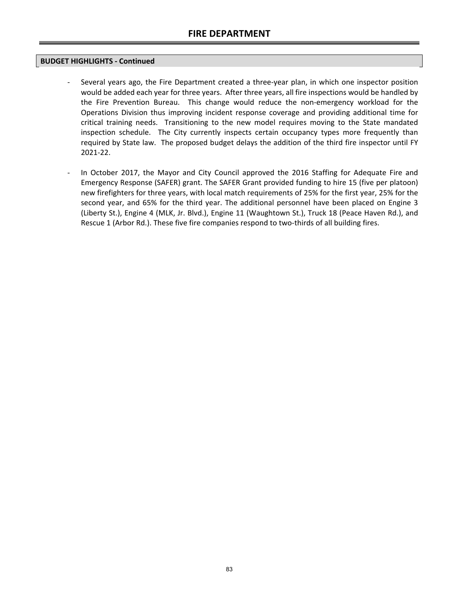## **BUDGET HIGHLIGHTS ‐ Continued**

- Several years ago, the Fire Department created a three-year plan, in which one inspector position would be added each year for three years. After three years, all fire inspections would be handled by the Fire Prevention Bureau. This change would reduce the non-emergency workload for the Operations Division thus improving incident response coverage and providing additional time for critical training needs. Transitioning to the new model requires moving to the State mandated inspection schedule. The City currently inspects certain occupancy types more frequently than required by State law. The proposed budget delays the addition of the third fire inspector until FY 2021‐22.
- In October 2017, the Mayor and City Council approved the 2016 Staffing for Adequate Fire and Emergency Response (SAFER) grant. The SAFER Grant provided funding to hire 15 (five per platoon) new firefighters for three years, with local match requirements of 25% for the first year, 25% for the second year, and 65% for the third year. The additional personnel have been placed on Engine 3 (Liberty St.), Engine 4 (MLK, Jr. Blvd.), Engine 11 (Waughtown St.), Truck 18 (Peace Haven Rd.), and Rescue 1 (Arbor Rd.). These five fire companies respond to two-thirds of all building fires.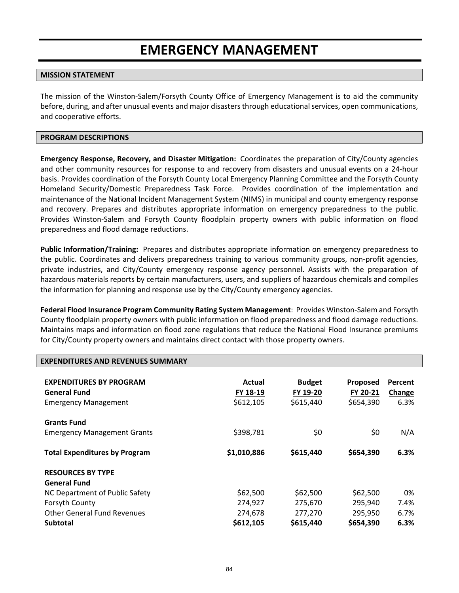# **EMERGENCY MANAGEMENT**

## **MISSION STATEMENT**

The mission of the Winston‐Salem/Forsyth County Office of Emergency Management is to aid the community before, during, and after unusual events and major disasters through educational services, open communications, and cooperative efforts.

#### **PROGRAM DESCRIPTIONS**

**Emergency Response, Recovery, and Disaster Mitigation:** Coordinates the preparation of City/County agencies and other community resources for response to and recovery from disasters and unusual events on a 24‐hour basis. Provides coordination of the Forsyth County Local Emergency Planning Committee and the Forsyth County Homeland Security/Domestic Preparedness Task Force. Provides coordination of the implementation and maintenance of the National Incident Management System (NIMS) in municipal and county emergency response and recovery. Prepares and distributes appropriate information on emergency preparedness to the public. Provides Winston‐Salem and Forsyth County floodplain property owners with public information on flood preparedness and flood damage reductions.

**Public Information/Training:** Prepares and distributes appropriate information on emergency preparedness to the public. Coordinates and delivers preparedness training to various community groups, non-profit agencies, private industries, and City/County emergency response agency personnel. Assists with the preparation of hazardous materials reports by certain manufacturers, users, and suppliers of hazardous chemicals and compiles the information for planning and response use by the City/County emergency agencies.

**Federal Flood Insurance Program Community Rating System Management**: Provides Winston‐Salem and Forsyth County floodplain property owners with public information on flood preparedness and flood damage reductions. Maintains maps and information on flood zone regulations that reduce the National Flood Insurance premiums for City/County property owners and maintains direct contact with those property owners.

| <b>EXPENDITURES AND REVENUES SUMMARY</b>                                             |                                 |                                        |                                   |                           |
|--------------------------------------------------------------------------------------|---------------------------------|----------------------------------------|-----------------------------------|---------------------------|
| <b>EXPENDITURES BY PROGRAM</b><br><b>General Fund</b><br><b>Emergency Management</b> | Actual<br>FY 18-19<br>\$612,105 | <b>Budget</b><br>FY 19-20<br>\$615,440 | Proposed<br>FY 20-21<br>\$654,390 | Percent<br>Change<br>6.3% |
| <b>Grants Fund</b><br><b>Emergency Management Grants</b>                             | \$398,781                       | \$0                                    | \$0                               | N/A                       |
| <b>Total Expenditures by Program</b>                                                 | \$1,010,886                     | \$615,440                              | \$654,390                         | 6.3%                      |
| <b>RESOURCES BY TYPE</b><br><b>General Fund</b><br>NC Department of Public Safety    | \$62,500                        | \$62,500                               | \$62,500                          | 0%                        |
| Forsyth County                                                                       | 274,927                         | 275,670                                | 295,940                           | 7.4%                      |
| <b>Other General Fund Revenues</b><br><b>Subtotal</b>                                | 274,678<br>\$612,105            | 277,270<br>\$615,440                   | 295,950<br>\$654,390              | 6.7%<br>6.3%              |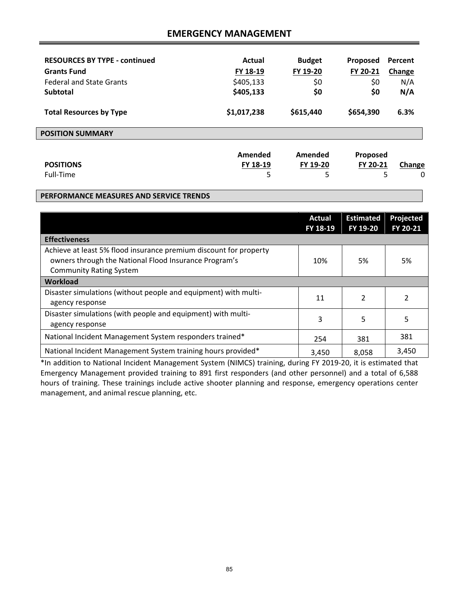## **EMERGENCY MANAGEMENT**

| <b>RESOURCES BY TYPE - continued</b> | Actual      | <b>Budget</b> | Proposed  | Percent |
|--------------------------------------|-------------|---------------|-----------|---------|
| <b>Grants Fund</b>                   | FY 18-19    | FY 19-20      | FY 20-21  | Change  |
| <b>Federal and State Grants</b>      | \$405,133   | \$0           | \$0       | N/A     |
| Subtotal                             | \$405,133   | \$0           | \$0       | N/A     |
| <b>Total Resources by Type</b>       | \$1,017,238 | \$615,440     | \$654,390 | 6.3%    |
| <b>POSITION SUMMARY</b>              |             |               |           |         |
|                                      | Amended     | Amended       | Proposed  |         |
| <b>POSITIONS</b>                     | FY 18-19    | FY 19-20      | FY 20-21  | Change  |
| Full-Time                            | 5           | 5             |           | 0<br>5  |

#### **PERFORMANCE MEASURES AND SERVICE TRENDS**

|                                                                                                                                                              | Actual<br>FY 18-19 | <b>Estimated</b><br>FY 19-20 | Projected<br>FY 20-21 |
|--------------------------------------------------------------------------------------------------------------------------------------------------------------|--------------------|------------------------------|-----------------------|
| <b>Effectiveness</b>                                                                                                                                         |                    |                              |                       |
| Achieve at least 5% flood insurance premium discount for property<br>owners through the National Flood Insurance Program's<br><b>Community Rating System</b> | 10%                | 5%                           | 5%                    |
| <b>Workload</b>                                                                                                                                              |                    |                              |                       |
| Disaster simulations (without people and equipment) with multi-<br>agency response                                                                           | 11                 | 2                            | $\overline{2}$        |
| Disaster simulations (with people and equipment) with multi-<br>agency response                                                                              | 3                  | 5                            | 5                     |
| National Incident Management System responders trained*                                                                                                      | 254                | 381                          | 381                   |
| National Incident Management System training hours provided*                                                                                                 | 3,450              | 8,058                        | 3,450                 |

\*In addition to National Incident Management System (NIMCS) training, during FY 2019‐20, it is estimated that Emergency Management provided training to 891 first responders (and other personnel) and a total of 6,588 hours of training. These trainings include active shooter planning and response, emergency operations center management, and animal rescue planning, etc.